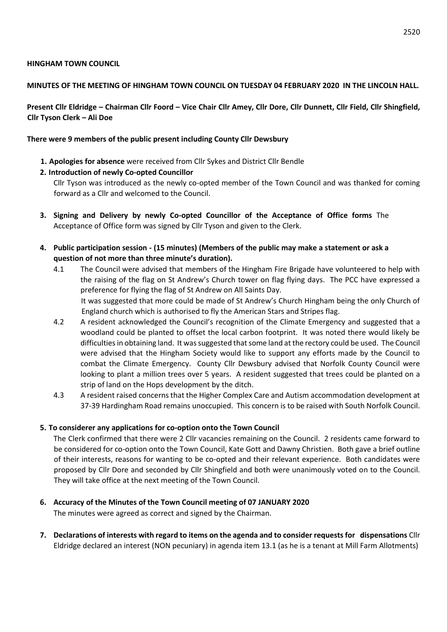#### **HINGHAM TOWN COUNCIL**

#### **MINUTES OF THE MEETING OF HINGHAM TOWN COUNCIL ON TUESDAY 04 FEBRUARY 2020 IN THE LINCOLN HALL.**

**Present Cllr Eldridge – Chairman Cllr Foord – Vice Chair Cllr Amey, Cllr Dore, Cllr Dunnett, Cllr Field, Cllr Shingfield, Cllr Tyson Clerk – Ali Doe** 

#### **There were 9 members of the public present including County Cllr Dewsbury**

**1. Apologies for absence** were received from Cllr Sykes and District Cllr Bendle

## **2. Introduction of newly Co-opted Councillor**

Cllr Tyson was introduced as the newly co-opted member of the Town Council and was thanked for coming forward as a Cllr and welcomed to the Council.

- **3. Signing and Delivery by newly Co-opted Councillor of the Acceptance of Office forms** The Acceptance of Office form was signed by Cllr Tyson and given to the Clerk.
- **4. Public participation session - (15 minutes) (Members of the public may make a statement or ask a question of not more than three minute's duration).** 
	- 4.1 The Council were advised that members of the Hingham Fire Brigade have volunteered to help with the raising of the flag on St Andrew's Church tower on flag flying days. The PCC have expressed a preference for flying the flag of St Andrew on All Saints Day. It was suggested that more could be made of St Andrew's Church Hingham being the only Church of England church which is authorised to fly the American Stars and Stripes flag.
	- 4.2 A resident acknowledged the Council's recognition of the Climate Emergency and suggested that a woodland could be planted to offset the local carbon footprint. It was noted there would likely be difficulties in obtaining land. It was suggested that some land at the rectory could be used. The Council were advised that the Hingham Society would like to support any efforts made by the Council to combat the Climate Emergency. County Cllr Dewsbury advised that Norfolk County Council were looking to plant a million trees over 5 years. A resident suggested that trees could be planted on a strip of land on the Hops development by the ditch.
	- 4.3 A resident raised concerns that the Higher Complex Care and Autism accommodation development at 37-39 Hardingham Road remains unoccupied. This concern is to be raised with South Norfolk Council.

## **5. To considerer any applications for co-option onto the Town Council**

The Clerk confirmed that there were 2 Cllr vacancies remaining on the Council. 2 residents came forward to be considered for co-option onto the Town Council, Kate Gott and Dawny Christien. Both gave a brief outline of their interests, reasons for wanting to be co-opted and their relevant experience. Both candidates were proposed by Cllr Dore and seconded by Cllr Shingfield and both were unanimously voted on to the Council. They will take office at the next meeting of the Town Council.

## **6. Accuracy of the Minutes of the Town Council meeting of 07 JANUARY 2020**

The minutes were agreed as correct and signed by the Chairman.

**7. Declarations of interests with regard to items on the agenda and to consider requests for dispensations** Cllr Eldridge declared an interest (NON pecuniary) in agenda item 13.1 (as he is a tenant at Mill Farm Allotments)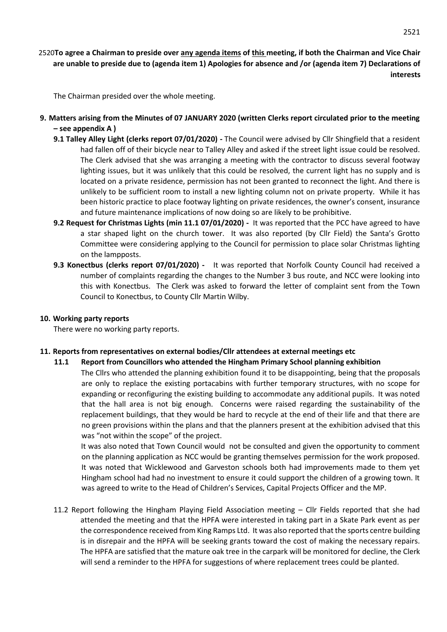The Chairman presided over the whole meeting.

- **9. Matters arising from the Minutes of 07 JANUARY 2020 (written Clerks report circulated prior to the meeting – see appendix A )** 
	- **9.1 Talley Alley Light (clerks report 07/01/2020) -** The Council were advised by Cllr Shingfield that a resident had fallen off of their bicycle near to Talley Alley and asked if the street light issue could be resolved. The Clerk advised that she was arranging a meeting with the contractor to discuss several footway lighting issues, but it was unlikely that this could be resolved, the current light has no supply and is located on a private residence, permission has not been granted to reconnect the light. And there is unlikely to be sufficient room to install a new lighting column not on private property. While it has been historic practice to place footway lighting on private residences, the owner's consent, insurance and future maintenance implications of now doing so are likely to be prohibitive.
	- **9.2 Request for Christmas Lights (min 11.1 07/01/2020)** It was reported that the PCC have agreed to have a star shaped light on the church tower. It was also reported (by Cllr Field) the Santa's Grotto Committee were considering applying to the Council for permission to place solar Christmas lighting on the lampposts.
	- **9.3 Konectbus (clerks report 07/01/2020)** It was reported that Norfolk County Council had received a number of complaints regarding the changes to the Number 3 bus route, and NCC were looking into this with Konectbus. The Clerk was asked to forward the letter of complaint sent from the Town Council to Konectbus, to County Cllr Martin Wilby.

#### **10. Working party reports**

There were no working party reports.

## **11. Reports from representatives on external bodies/Cllr attendees at external meetings etc**

**11.1 Report from Councillors who attended the Hingham Primary School planning exhibition**  The Cllrs who attended the planning exhibition found it to be disappointing, being that the proposals are only to replace the existing portacabins with further temporary structures, with no scope for expanding or reconfiguring the existing building to accommodate any additional pupils. It was noted that the hall area is not big enough. Concerns were raised regarding the sustainability of the replacement buildings, that they would be hard to recycle at the end of their life and that there are no green provisions within the plans and that the planners present at the exhibition advised that this was "not within the scope" of the project.

It was also noted that Town Council would not be consulted and given the opportunity to comment on the planning application as NCC would be granting themselves permission for the work proposed. It was noted that Wicklewood and Garveston schools both had improvements made to them yet Hingham school had had no investment to ensure it could support the children of a growing town. It was agreed to write to the Head of Children's Services, Capital Projects Officer and the MP.

11.2 Report following the Hingham Playing Field Association meeting – Cllr Fields reported that she had attended the meeting and that the HPFA were interested in taking part in a Skate Park event as per the correspondence received from King Ramps Ltd. It was also reported that the sports centre building is in disrepair and the HPFA will be seeking grants toward the cost of making the necessary repairs. The HPFA are satisfied that the mature oak tree in the carpark will be monitored for decline, the Clerk will send a reminder to the HPFA for suggestions of where replacement trees could be planted.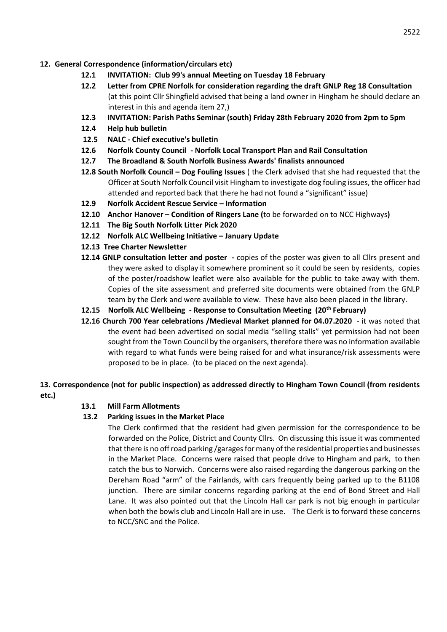- **12. General Correspondence (information/circulars etc)** 
	- **12.1 INVITATION: Club 99's annual Meeting on Tuesday 18 February**
	- **12.2 Letter from CPRE Norfolk for consideration regarding the draft GNLP Reg 18 Consultation**  (at this point Cllr Shingfield advised that being a land owner in Hingham he should declare an interest in this and agenda item 27,)
	- **12.3 INVITATION: Parish Paths Seminar (south) Friday 28th February 2020 from 2pm to 5pm**
	- **12.4 Help hub bulletin**
	- **12.5 NALC - Chief executive's bulletin**
	- **12.6 Norfolk County Council - Norfolk Local Transport Plan and Rail Consultation**
	- **12.7 The Broadland & South Norfolk Business Awards' finalists announced**
	- **12.8 South Norfolk Council – Dog Fouling Issues** ( the Clerk advised that she had requested that the Officer at South Norfolk Council visit Hingham to investigate dog fouling issues, the officer had attended and reported back that there he had not found a "significant" issue)
	- **12.9 Norfolk Accident Rescue Service – Information**
	- **12.10 Anchor Hanover – Condition of Ringers Lane (**to be forwarded on to NCC Highways**)**
	- **12.11 The Big South Norfolk Litter Pick 2020**
	- **12.12 Norfolk ALC Wellbeing Initiative – January Update**
	- **12.13 Tree Charter Newsletter**
	- **12.14 GNLP consultation letter and poster -** copies of the poster was given to all Cllrs present and they were asked to display it somewhere prominent so it could be seen by residents, copies of the poster/roadshow leaflet were also available for the public to take away with them. Copies of the site assessment and preferred site documents were obtained from the GNLP team by the Clerk and were available to view. These have also been placed in the library.
	- **12.15 Norfolk ALC Wellbeing - Response to Consultation Meeting (20th February)**
	- **12.16 Church 700 Year celebrations /Medieval Market planned for 04.07.2020** it was noted that the event had been advertised on social media "selling stalls" yet permission had not been sought from the Town Council by the organisers, therefore there was no information available with regard to what funds were being raised for and what insurance/risk assessments were proposed to be in place. (to be placed on the next agenda).

**13. Correspondence (not for public inspection) as addressed directly to Hingham Town Council (from residents etc.)** 

## **13.1 Mill Farm Allotments**

## **13.2 Parking issues in the Market Place**

The Clerk confirmed that the resident had given permission for the correspondence to be forwarded on the Police, District and County Cllrs. On discussing this issue it was commented that there is no off road parking /garages for many of the residential properties and businesses in the Market Place. Concerns were raised that people drive to Hingham and park, to then catch the bus to Norwich. Concerns were also raised regarding the dangerous parking on the Dereham Road "arm" of the Fairlands, with cars frequently being parked up to the B1108 junction. There are similar concerns regarding parking at the end of Bond Street and Hall Lane. It was also pointed out that the Lincoln Hall car park is not big enough in particular when both the bowls club and Lincoln Hall are in use. The Clerk is to forward these concerns to NCC/SNC and the Police.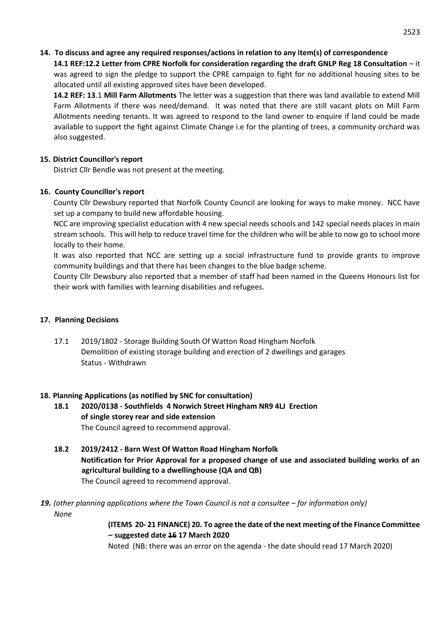## **14. To discuss and agree any required responses/actions in relation to any item(s) of correspondence**

**14.1 REF:12.2 Letter from CPRE Norfolk for consideration regarding the draft GNLP Reg 18 Consultation** – it was agreed to sign the pledge to support the CPRE campaign to fight for no additional housing sites to be allocated until all existing approved sites have been developed.

**14.2 REF: 13**.1 **Mill Farm Allotments** The letter was a suggestion that there was land available to extend Mill Farm Allotments if there was need/demand. It was noted that there are still vacant plots on Mill Farm Allotments needing tenants. It was agreed to respond to the land owner to enquire if land could be made available to support the fight against Climate Change i.e for the planting of trees, a community orchard was also suggested.

## **15. District Councillor's report**

District Cllr Bendle was not present at the meeting.

## **16. County Councillor's report**

County Cllr Dewsbury reported that Norfolk County Council are looking for ways to make money. NCC have set up a company to build new affordable housing.

NCC are improving specialist education with 4 new special needs schools and 142 special needs places in main stream schools. This will help to reduce travel time for the children who will be able to now go to school more locally to their home.

It was also reported that NCC are setting up a social infrastructure fund to provide grants to improve community buildings and that there has been changes to the blue badge scheme.

County Cllr Dewsbury also reported that a member of staff had been named in the Queens Honours list for their work with families with learning disabilities and refugees.

#### **17. Planning Decisions**

17.1 2019/1802 - Storage Building South Of Watton Road Hingham Norfolk Demolition of existing storage building and erection of 2 dwellings and garages Status - Withdrawn

## **18. Planning Applications (as notified by SNC for consultation)**

- **18.1 2020/0138 - Southfields 4 Norwich Street Hingham NR9 4LJ Erection of single storey rear and side extension**  The Council agreed to recommend approval.
- **18.2 2019/2412 - Barn West Of Watton Road Hingham Norfolk Notification for Prior Approval for a proposed change of use and associated building works of an agricultural building to a dwellinghouse (QA and QB)**  The Council agreed to recommend approval.
- **19.** (other planning applications where the Town Council is not a consultee for information only) *None*

**(ITEMS 20- 21 FINANCE) 20. To agree the date of the next meeting of the Finance Committee – suggested date 16 17 March 2020** 

Noted (NB: there was an error on the agenda - the date should read 17 March 2020)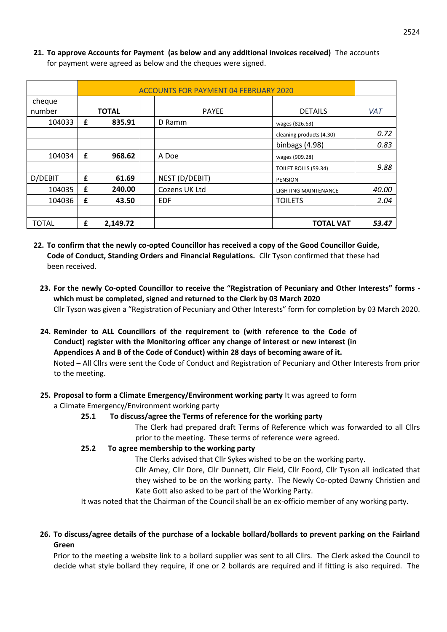|              | <b>ACCOUNTS FOR PAYMENT 04 FEBRUARY 2020</b> |              |  |                |                          |            |
|--------------|----------------------------------------------|--------------|--|----------------|--------------------------|------------|
| cheque       |                                              |              |  |                |                          |            |
| number       |                                              | <b>TOTAL</b> |  | <b>PAYEE</b>   | <b>DETAILS</b>           | <b>VAT</b> |
| 104033       | £                                            | 835.91       |  | D Ramm         | wages (826.63)           |            |
|              |                                              |              |  |                | cleaning products (4.30) | 0.72       |
|              |                                              |              |  |                | binbags (4.98)           | 0.83       |
| 104034       | £                                            | 968.62       |  | A Doe          | wages (909.28)           |            |
|              |                                              |              |  |                | TOILET ROLLS (59.34)     | 9.88       |
| D/DEBIT      | £                                            | 61.69        |  | NEST (D/DEBIT) | <b>PENSION</b>           |            |
| 104035       | £                                            | 240.00       |  | Cozens UK Ltd  | LIGHTING MAINTENANCE     | 40.00      |
| 104036       | £                                            | 43.50        |  | <b>EDF</b>     | <b>TOILETS</b>           | 2.04       |
|              |                                              |              |  |                |                          |            |
| <b>TOTAL</b> | £                                            | 2,149.72     |  |                | <b>TOTAL VAT</b>         | 53.47      |

**21. To approve Accounts for Payment (as below and any additional invoices received)** The accounts for payment were agreed as below and the cheques were signed.

- **22. To confirm that the newly co-opted Councillor has received a copy of the Good Councillor Guide, Code of Conduct, Standing Orders and Financial Regulations.** Cllr Tyson confirmed that these had been received.
	- **23. For the newly Co-opted Councillor to receive the "Registration of Pecuniary and Other Interests" forms which must be completed, signed and returned to the Clerk by 03 March 2020**  Cllr Tyson was given a "Registration of Pecuniary and Other Interests" form for completion by 03 March 2020.
	- **24. Reminder to ALL Councillors of the requirement to (with reference to the Code of Conduct) register with the Monitoring officer any change of interest or new interest (in Appendices A and B of the Code of Conduct) within 28 days of becoming aware of it.**  Noted – All Cllrs were sent the Code of Conduct and Registration of Pecuniary and Other Interests from prior to the meeting.

# **25. Proposal to form a Climate Emergency/Environment working party** It was agreed to form

## a Climate Emergency/Environment working party

# **25.1 To discuss/agree the Terms of reference for the working party**

The Clerk had prepared draft Terms of Reference which was forwarded to all Cllrs prior to the meeting. These terms of reference were agreed.

# **25.2 To agree membership to the working party**

The Clerks advised that Cllr Sykes wished to be on the working party. Cllr Amey, Cllr Dore, Cllr Dunnett, Cllr Field, Cllr Foord, Cllr Tyson all indicated that they wished to be on the working party. The Newly Co-opted Dawny Christien and Kate Gott also asked to be part of the Working Party.

It was noted that the Chairman of the Council shall be an ex-officio member of any working party.

# **26. To discuss/agree details of the purchase of a lockable bollard/bollards to prevent parking on the Fairland Green**

Prior to the meeting a website link to a bollard supplier was sent to all Cllrs. The Clerk asked the Council to decide what style bollard they require, if one or 2 bollards are required and if fitting is also required. The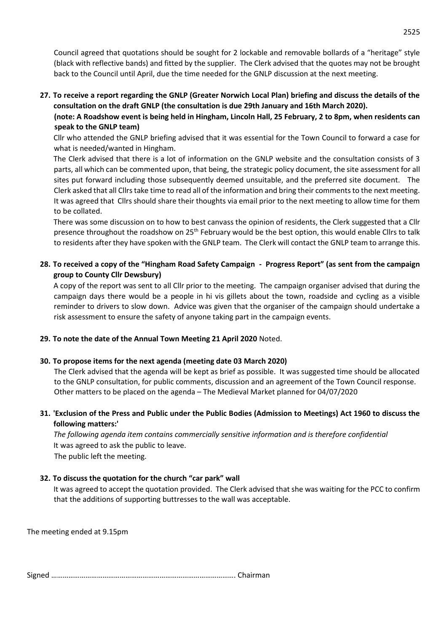Council agreed that quotations should be sought for 2 lockable and removable bollards of a "heritage" style (black with reflective bands) and fitted by the supplier. The Clerk advised that the quotes may not be brought back to the Council until April, due the time needed for the GNLP discussion at the next meeting.

**27. To receive a report regarding the GNLP (Greater Norwich Local Plan) briefing and discuss the details of the consultation on the draft GNLP (the consultation is due 29th January and 16th March 2020).** 

**(note: A Roadshow event is being held in Hingham, Lincoln Hall, 25 February, 2 to 8pm, when residents can speak to the GNLP team)** 

Cllr who attended the GNLP briefing advised that it was essential for the Town Council to forward a case for what is needed/wanted in Hingham.

The Clerk advised that there is a lot of information on the GNLP website and the consultation consists of 3 parts, all which can be commented upon, that being, the strategic policy document, the site assessment for all sites put forward including those subsequently deemed unsuitable, and the preferred site document. The Clerk asked that all Cllrs take time to read all of the information and bring their comments to the next meeting. It was agreed that Cllrs should share their thoughts via email prior to the next meeting to allow time for them to be collated.

There was some discussion on to how to best canvass the opinion of residents, the Clerk suggested that a Cllr presence throughout the roadshow on 25<sup>th</sup> February would be the best option, this would enable Cllrs to talk to residents after they have spoken with the GNLP team. The Clerk will contact the GNLP team to arrange this.

**28. To received a copy of the "Hingham Road Safety Campaign - Progress Report" (as sent from the campaign group to County Cllr Dewsbury)** 

A copy of the report was sent to all Cllr prior to the meeting. The campaign organiser advised that during the campaign days there would be a people in hi vis gillets about the town, roadside and cycling as a visible reminder to drivers to slow down. Advice was given that the organiser of the campaign should undertake a risk assessment to ensure the safety of anyone taking part in the campaign events.

#### **29. To note the date of the Annual Town Meeting 21 April 2020** Noted.

#### **30. To propose items for the next agenda (meeting date 03 March 2020)**

The Clerk advised that the agenda will be kept as brief as possible. It was suggested time should be allocated to the GNLP consultation, for public comments, discussion and an agreement of the Town Council response. Other matters to be placed on the agenda – The Medieval Market planned for 04/07/2020

## **31. 'Exclusion of the Press and Public under the Public Bodies (Admission to Meetings) Act 1960 to discuss the following matters:'**

*The following agenda item contains commercially sensitive information and is therefore confidential*  It was agreed to ask the public to leave.

The public left the meeting.

#### **32. To discuss the quotation for the church "car park" wall**

It was agreed to accept the quotation provided. The Clerk advised that she was waiting for the PCC to confirm that the additions of supporting buttresses to the wall was acceptable.

The meeting ended at 9.15pm

Signed ……………………………………………………………………………………. Chairman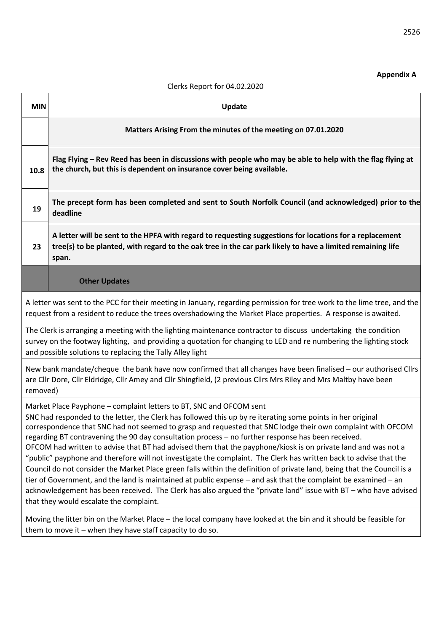#### **Appendix A**

# **MIN Update Matters Arising From the minutes of the meeting on 07.01.2020 10.8 Flag Flying – Rev Reed has been in discussions with people who may be able to help with the flag flying at the church, but this is dependent on insurance cover being available. 19 The precept form has been completed and sent to South Norfolk Council (and acknowledged) prior to the deadline 23 A letter will be sent to the HPFA with regard to requesting suggestions for locations for a replacement tree(s) to be planted, with regard to the oak tree in the car park likely to have a limited remaining life span. Other Updates**  A letter was sent to the PCC for their meeting in January, regarding permission for tree work to the lime tree, and the request from a resident to reduce the trees overshadowing the Market Place properties. A response is awaited. The Clerk is arranging a meeting with the lighting maintenance contractor to discuss undertaking the condition survey on the footway lighting, and providing a quotation for changing to LED and re numbering the lighting stock and possible solutions to replacing the Tally Alley light New bank mandate/cheque the bank have now confirmed that all changes have been finalised – our authorised Cllrs are Cllr Dore, Cllr Eldridge, Cllr Amey and Cllr Shingfield, (2 previous Cllrs Mrs Riley and Mrs Maltby have been removed) Market Place Payphone – complaint letters to BT, SNC and OFCOM sent SNC had responded to the letter, the Clerk has followed this up by re iterating some points in her original correspondence that SNC had not seemed to grasp and requested that SNC lodge their own complaint with OFCOM regarding BT contravening the 90 day consultation process – no further response has been received. OFCOM had written to advise that BT had advised them that the payphone/kiosk is on private land and was not a "public" payphone and therefore will not investigate the complaint. The Clerk has written back to advise that the Council do not consider the Market Place green falls within the definition of private land, being that the Council is a tier of Government, and the land is maintained at public expense – and ask that the complaint be examined – an acknowledgement has been received. The Clerk has also argued the "private land" issue with BT – who have advised that they would escalate the complaint. Moving the litter bin on the Market Place – the local company have looked at the bin and it should be feasible for them to move it – when they have staff capacity to do so.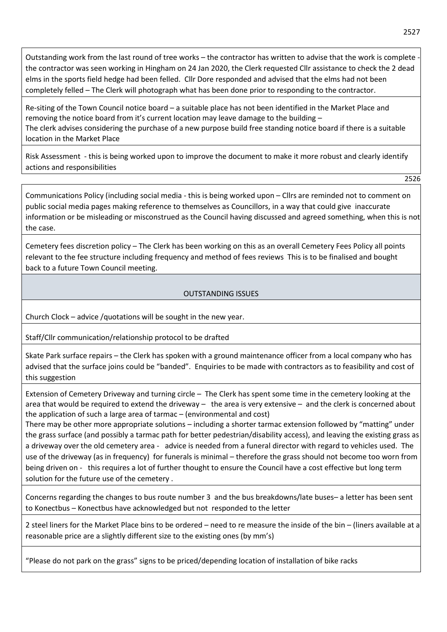Outstanding work from the last round of tree works - the contractor has written to advise that the work is complete the contractor was seen working in Hingham on 24 Jan 2020, the Clerk requested Cllr assistance to check the 2 dead elms in the sports field hedge had been felled. Cllr Dore responded and advised that the elms had not been completely felled – The Clerk will photograph what has been done prior to responding to the contractor.

Re-siting of the Town Council notice board – a suitable place has not been identified in the Market Place and removing the notice board from it's current location may leave damage to the building – The clerk advises considering the purchase of a new purpose build free standing notice board if there is a suitable location in the Market Place

Risk Assessment - this is being worked upon to improve the document to make it more robust and clearly identify actions and responsibilities

2526

Communications Policy (including social media - this is being worked upon – Cllrs are reminded not to comment on public social media pages making reference to themselves as Councillors, in a way that could give inaccurate information or be misleading or misconstrued as the Council having discussed and agreed something, when this is not the case.

Cemetery fees discretion policy – The Clerk has been working on this as an overall Cemetery Fees Policy all points relevant to the fee structure including frequency and method of fees reviews This is to be finalised and bought back to a future Town Council meeting.

# OUTSTANDING ISSUES

Church Clock – advice /quotations will be sought in the new year.

Staff/Cllr communication/relationship protocol to be drafted

Skate Park surface repairs – the Clerk has spoken with a ground maintenance officer from a local company who has advised that the surface joins could be "banded". Enquiries to be made with contractors as to feasibility and cost of this suggestion

Extension of Cemetery Driveway and turning circle – The Clerk has spent some time in the cemetery looking at the area that would be required to extend the driveway – the area is very extensive – and the clerk is concerned about the application of such a large area of tarmac – (environmental and cost)

There may be other more appropriate solutions – including a shorter tarmac extension followed by "matting" under the grass surface (and possibly a tarmac path for better pedestrian/disability access), and leaving the existing grass as a driveway over the old cemetery area - advice is needed from a funeral director with regard to vehicles used. The use of the driveway (as in frequency) for funerals is minimal – therefore the grass should not become too worn from being driven on - this requires a lot of further thought to ensure the Council have a cost effective but long term solution for the future use of the cemetery .

Concerns regarding the changes to bus route number 3 and the bus breakdowns/late buses– a letter has been sent to Konectbus – Konectbus have acknowledged but not responded to the letter

2 steel liners for the Market Place bins to be ordered – need to re measure the inside of the bin – (liners available at a reasonable price are a slightly different size to the existing ones (by mm's)

"Please do not park on the grass" signs to be priced/depending location of installation of bike racks